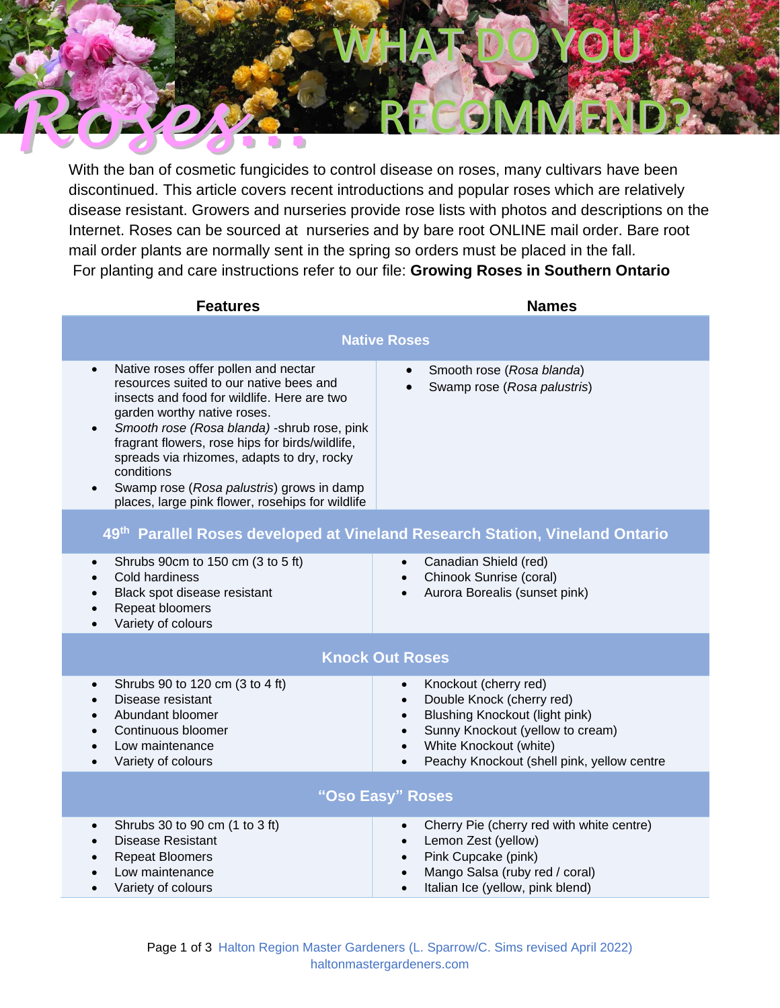

With the ban of cosmetic fungicides to control disease on roses, many cultivars have been discontinued. This article covers recent introductions and popular roses which are relatively disease resistant. Growers and nurseries provide rose lists with photos and descriptions on the Internet. Roses can be sourced at nurseries and by bare root ONLINE mail order. Bare root mail order plants are normally sent in the spring so orders must be placed in the fall. For planting and care instructions refer to our file: **Growing Roses in Southern Ontario**

| <b>Features</b>                                                                                                                                                                                                                                                                                                                                                                                                                                                      | <b>Names</b>                                                                                                                                                                                                                                                                          |  |  |  |  |
|----------------------------------------------------------------------------------------------------------------------------------------------------------------------------------------------------------------------------------------------------------------------------------------------------------------------------------------------------------------------------------------------------------------------------------------------------------------------|---------------------------------------------------------------------------------------------------------------------------------------------------------------------------------------------------------------------------------------------------------------------------------------|--|--|--|--|
| <b>Native Roses</b>                                                                                                                                                                                                                                                                                                                                                                                                                                                  |                                                                                                                                                                                                                                                                                       |  |  |  |  |
| Native roses offer pollen and nectar<br>$\bullet$<br>resources suited to our native bees and<br>insects and food for wildlife. Here are two<br>garden worthy native roses.<br>Smooth rose (Rosa blanda) - shrub rose, pink<br>$\bullet$<br>fragrant flowers, rose hips for birds/wildlife,<br>spreads via rhizomes, adapts to dry, rocky<br>conditions<br>Swamp rose (Rosa palustris) grows in damp<br>$\bullet$<br>places, large pink flower, rosehips for wildlife | Smooth rose (Rosa blanda)<br>Swamp rose (Rosa palustris)                                                                                                                                                                                                                              |  |  |  |  |
|                                                                                                                                                                                                                                                                                                                                                                                                                                                                      | 49th Parallel Roses developed at Vineland Research Station, Vineland Ontario                                                                                                                                                                                                          |  |  |  |  |
| Shrubs 90cm to 150 cm (3 to 5 ft)<br>$\bullet$<br>Cold hardiness<br>Black spot disease resistant<br>$\bullet$<br>Repeat bloomers<br>$\bullet$<br>Variety of colours<br>$\bullet$                                                                                                                                                                                                                                                                                     | Canadian Shield (red)<br>$\bullet$<br>Chinook Sunrise (coral)<br>$\bullet$<br>Aurora Borealis (sunset pink)<br>$\bullet$                                                                                                                                                              |  |  |  |  |
| <b>Knock Out Roses</b>                                                                                                                                                                                                                                                                                                                                                                                                                                               |                                                                                                                                                                                                                                                                                       |  |  |  |  |
| Shrubs 90 to 120 cm (3 to 4 ft)<br>$\bullet$<br>Disease resistant<br>$\bullet$<br>Abundant bloomer<br>$\bullet$<br>Continuous bloomer<br>$\bullet$<br>Low maintenance<br>$\bullet$<br>Variety of colours<br>$\bullet$                                                                                                                                                                                                                                                | Knockout (cherry red)<br>$\bullet$<br>Double Knock (cherry red)<br>$\bullet$<br><b>Blushing Knockout (light pink)</b><br>$\bullet$<br>Sunny Knockout (yellow to cream)<br>$\bullet$<br>White Knockout (white)<br>$\bullet$<br>Peachy Knockout (shell pink, yellow centre<br>$\bullet$ |  |  |  |  |
| "Oso Easy" Roses                                                                                                                                                                                                                                                                                                                                                                                                                                                     |                                                                                                                                                                                                                                                                                       |  |  |  |  |
| Shrubs 30 to 90 cm (1 to 3 ft)<br>$\bullet$<br><b>Disease Resistant</b><br>$\bullet$<br><b>Repeat Bloomers</b><br>Low maintenance<br>Variety of colours                                                                                                                                                                                                                                                                                                              | Cherry Pie (cherry red with white centre)<br>$\bullet$<br>Lemon Zest (yellow)<br>$\bullet$<br>Pink Cupcake (pink)<br>$\bullet$<br>Mango Salsa (ruby red / coral)<br>$\bullet$<br>Italian Ice (yellow, pink blend)<br>$\bullet$                                                        |  |  |  |  |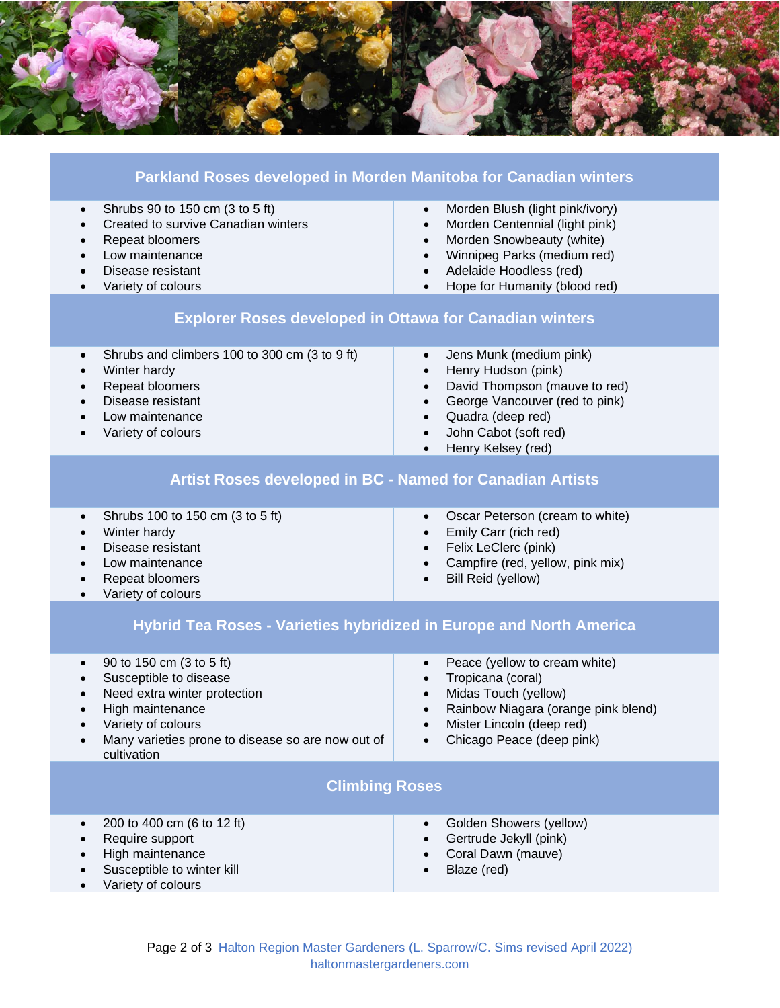

| Parkland Roses developed in Morden Manitoba for Canadian winters                                                                                                                                                                        |                                                                                                                                                                                                                                                                                  |  |  |  |
|-----------------------------------------------------------------------------------------------------------------------------------------------------------------------------------------------------------------------------------------|----------------------------------------------------------------------------------------------------------------------------------------------------------------------------------------------------------------------------------------------------------------------------------|--|--|--|
| Shrubs 90 to 150 cm (3 to 5 ft)<br>$\bullet$<br>Created to survive Canadian winters<br>$\bullet$<br>Repeat bloomers<br>$\bullet$<br>Low maintenance<br>$\bullet$<br>Disease resistant<br>$\bullet$<br>Variety of colours<br>$\bullet$   | Morden Blush (light pink/ivory)<br>$\bullet$<br>Morden Centennial (light pink)<br>$\bullet$<br>Morden Snowbeauty (white)<br>$\bullet$<br>Winnipeg Parks (medium red)<br>$\bullet$<br>Adelaide Hoodless (red)<br>$\bullet$<br>Hope for Humanity (blood red)<br>$\bullet$          |  |  |  |
| <b>Explorer Roses developed in Ottawa for Canadian winters</b>                                                                                                                                                                          |                                                                                                                                                                                                                                                                                  |  |  |  |
| Shrubs and climbers 100 to 300 cm (3 to 9 ft)<br>$\bullet$<br>Winter hardy<br>$\bullet$<br>Repeat bloomers<br>$\bullet$<br>Disease resistant<br>$\bullet$<br>Low maintenance<br>Variety of colours                                      | Jens Munk (medium pink)<br>$\bullet$<br>Henry Hudson (pink)<br>$\bullet$<br>David Thompson (mauve to red)<br>$\bullet$<br>George Vancouver (red to pink)<br>$\bullet$<br>Quadra (deep red)<br>$\bullet$<br>John Cabot (soft red)<br>$\bullet$<br>Henry Kelsey (red)<br>$\bullet$ |  |  |  |
| <b>Artist Roses developed in BC - Named for Canadian Artists</b>                                                                                                                                                                        |                                                                                                                                                                                                                                                                                  |  |  |  |
| Shrubs 100 to 150 cm (3 to 5 ft)<br>$\bullet$<br>Winter hardy<br>$\bullet$<br>Disease resistant<br>Low maintenance<br>$\bullet$<br>Repeat bloomers<br>$\bullet$<br>Variety of colours<br>$\bullet$                                      | Oscar Peterson (cream to white)<br>$\bullet$<br>Emily Carr (rich red)<br>Felix LeClerc (pink)<br>$\bullet$<br>Campfire (red, yellow, pink mix)<br>$\bullet$<br>Bill Reid (yellow)<br>$\bullet$                                                                                   |  |  |  |
| Hybrid Tea Roses - Varieties hybridized in Europe and North America                                                                                                                                                                     |                                                                                                                                                                                                                                                                                  |  |  |  |
| 90 to 150 cm (3 to 5 ft)<br>$\bullet$<br>Susceptible to disease<br>$\bullet$<br>Need extra winter protection<br>$\bullet$<br>High maintenance<br>Variety of colours<br>Many varieties prone to disease so are now out of<br>cultivation | Peace (yellow to cream white)<br>$\bullet$<br>Tropicana (coral)<br>Midas Touch (yellow)<br>Rainbow Niagara (orange pink blend)<br>Mister Lincoln (deep red)<br>$\bullet$<br>Chicago Peace (deep pink)                                                                            |  |  |  |
| <b>Climbing Roses</b>                                                                                                                                                                                                                   |                                                                                                                                                                                                                                                                                  |  |  |  |
| 200 to 400 cm (6 to 12 ft)<br>$\bullet$<br>Require support<br>High maintenance<br>Susceptible to winter kill<br>Variety of colours                                                                                                      | Golden Showers (yellow)<br>Gertrude Jekyll (pink)<br>Coral Dawn (mauve)<br>Blaze (red)                                                                                                                                                                                           |  |  |  |